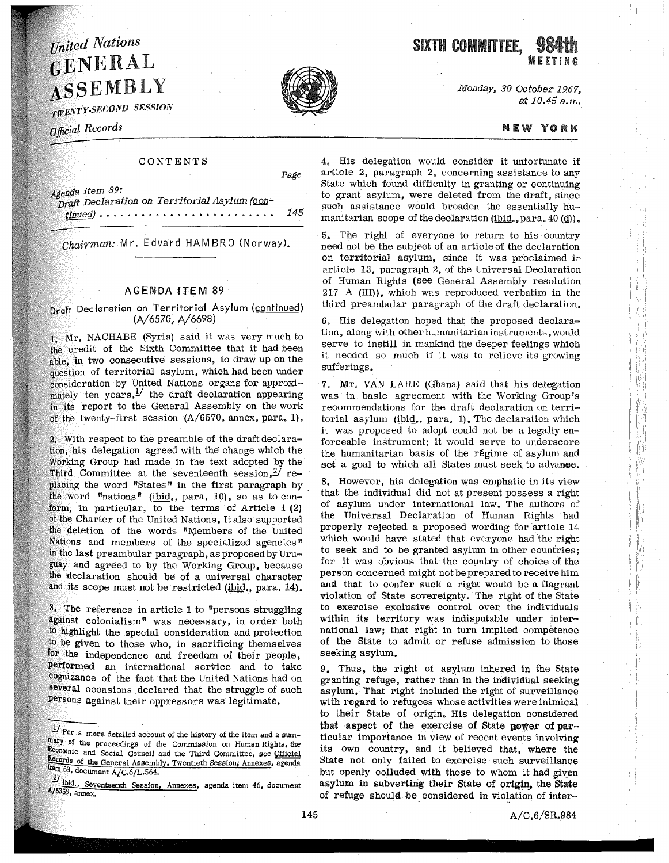## *<i>Inited Nations* ENERAL **ASSEMBLY**

*• SECOND SESSION* 

Official Records

## CONTENTS

*item 89:* 

Draft Declaration on Territorial Asylum (continued) • • • • • • • • • • • • • • • • • • • • • • • • • *145* 

Chairman: Mr. Edvard HAMBRO (Norway).

## AGENDA fTEM 89

Draft Declaration on Territorial Asylum (continued) (A/6570, A/6698)

1. Mr. NACHABE (Syria) said it was very much to the credit of the Sixth Committee that it had been able, in two consecutive sessions, to draw up on the question of territorial asylum, which had been under consideration by United Nations organs for approximately ten years, <sup>1</sup> the draft declaration appearing In its report to the General Assembly on the work of the twenty-first session  $(A/6570, \text{annex}, \text{para}, 1)$ .

2, With respect to the preamble of the draft declaration, his delegation agreed with the change which the Working Group had made in the text adopted by the Third Committee at the seventeenth session,  $2/$  replacing the word "States" in the first paragraph by the word "nations" (ibid., para. 10), so as to conform, in particular, to the terms of Article 1 (2) of the. Charter of the United Nations, It also supported the deletion of the words "Members of the United Nations and members of the specialized agencies<sup> $n$ </sup> in the last preambular paragraph, as proposed by Uruguay and agreed to by the Working Group, because the declaration should be of a universal character and its scope must not be restricted (ibid., para. 14).

 $3.$  The reference in article 1 to "persons struggling" against coionialism" was necessary, in order both to highlight the special consideration and protection to be given to those who, in sacrificing themselves for the independence and freedom of their people, Performed an international service and to take cognizance of the fact that the United Nations had on several occasions declared that the struggle of such persons against their oppressors was legitimate,

SIXTH COMMITTEE. MEETING

> *.Monday, 30 October 1967, at 10.45 a.m •*

## NEW YORK

4, His delegation would consider it unfortunate if article 2, paragraph 2, concerning assistance to any State which found difficulty in granting or continuing to grant asylum, were deleted from the draft, since such assistance would broaden the essentially humanitarian scope of the declaration  $(i$ bid., para. 40 $(d)$ ).

5. The right of everyone to return to his country need not be the subject of an article of the declaration on territorial asylum, since it was proclaimed in article 13, paragraph 2, of the Universal Declaration of Human Rights (see General Assembly resolution 217 A (III)), which was reproduced verbatim in the third preambular paragraph of the draft declaration.

6. His delegation hoped that the proposed declaration, along with other humanitarian instruments, would serve. to instill in mankind the deeper feelings which it needed so much if it was to relieve its growing sufferings.

7. Mr. VAN LARE (Ghana) said that his delegation was in basic agreement with the Working Group's recommendations for the draft declaration on territorial asylum (ibid,, para. 1). The declaration which it was proposed to adopt could not be a legally enforceable instrument; it would serve to underscore the humanitarian basis of the regime of asylum and set a goal to which all States must seek to advanee.

8, However, his delegation was emphatic in its view that the individual did not at present possess a right of asylum under international law. The authors of the Universal Declaration of Human Rights had properly rejected a proposed wording for article 14 which would have stated that everyone had the right to seek and to be granted asylum in other countries; for it was obvious that the country of choice of the person concerned might not be prepared to receive him and that to confer such a right would be a flagrant violation of State sovereignty. The right of the State to exercise exclusive control over the individuals within its territory was indisputable under international law; that right in turn implied competence of the State to admit or refuse admission to those seeking asylum.

9. Thus, the right of asylum inhered in the State granting refuge, rather than in the individual seeking asylum. That right included the right of surveillance with regard to refugees whose activities were inimical to their State of origin, His delegation considered that aspect of the exercise of State power of particular importance in view of recent events involving its own country, and it believed that, where the State not only failed to exercise such surveillance but openly colluded with those to whom it had given asylum in subverting their State of origin, the State of refuge . should. be considered in violation of inter-



Page

 $\frac{1}{2}$  For a more detailed account of the history of the item and a summary of the proceedings of the Commission on Human Rights, the Economic and Social Council and the Third Committee, see Qfficial Records of the General Assembly, Twentieth Session, Annexes, agenda Item  $63$ , document  $A/C.6/L.564$ .

 $\frac{2}{2}$  lbid., Seventeenth Session, Annexes, agenda item 46, document  $\frac{1}{2}$  A) A)  $\frac{3359}{2}$ , annex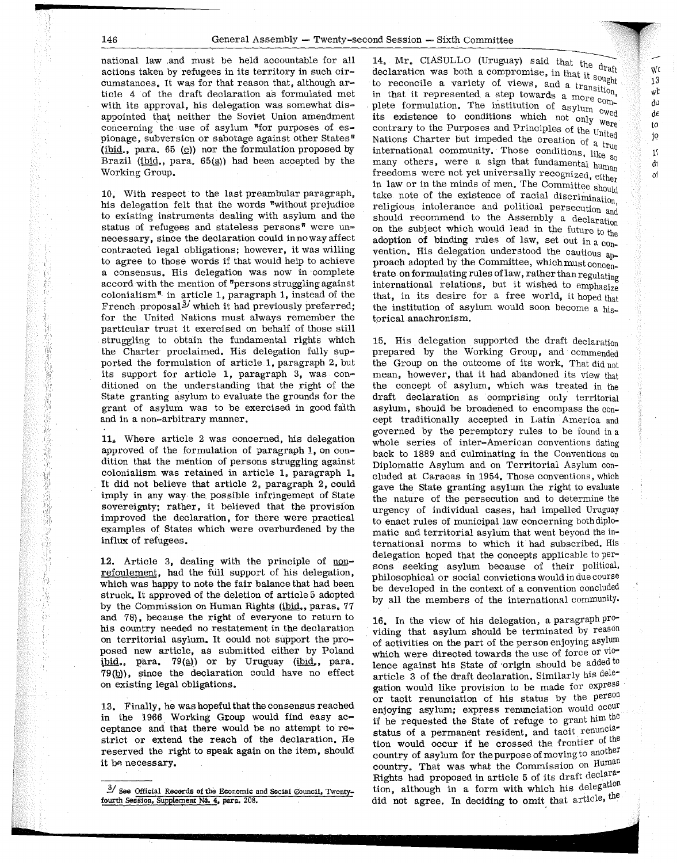$\mathbb{I}$ 

national law .and must be held accountable for all actions taken by refugees in its territory in such circumstances, It was for that reason that, although article 4 of the draft declaration as formulated met with its approval, his delegation was somewhat disappointed that neither the Soviet Union amendment concerning the use of asylum  $"$ for purposes of espionage, subversion or sabotage against other States" (ibid., para. 65 ( $\circ$ )) nor the formulation proposed by Brazil (ibid., para.  $65(a)$ ) had been accepted by the Working Group.

10, With respect to the last preambular paragraph, his delegation felt that the words  $"without$  prejudice to existing instruments dealing with asylum and the status of refugees and stateless persons<sup>\*</sup> were unnecessary, since the declaration could in noway affect contracted legal obligations; however, it was willing to agree to those words if that would help to achieve a consensus. His delegation was now in ·complete accord with the mention of "persons struggling against colonialism<sup> $M$ </sup> in article 1, paragraph 1, instead of the French proposal $^3$  which it had previously preferred; for the United Nations must always remember the particular trust it exercised on behalf of those still struggling to obtain the fundamental rights which the Charter proclaimed. His delegation fully supported the formulation of article 1, paragraph 2, but its support for article 1, paragraph 3, was conditioned on the understanding that the right of the State granting asylum to evaluate the grounds for the grant of asylum was to be exercised in good faith and in a non-arbitrary manner.

 $11<sub>n</sub>$ . Where article 2 was concerned, his delegation approved of the formulation of paragraph 1, on condition that the mention of persons struggling against colonialism was retained in article 1, paragraph 1, It did not believe that article 2, paragraph 2, could imply in any way the possible infringement of State sovereignty; rather, it believed that the provision improved the declaration, for there were practical examples of States which were overburdened by the influx of refugees.

12. Article 3, dealing with the principle of nonrefoulement, had the full support of his delegation, which was happy to note the fair balance that had been struck, It approved of the deletion of article 5 adopted· by the Commission on Human Rights (ibid,, paras. 77 and 78), because the right of everyone to return to his country needed no restatement in the declaration on territorial asylum. It could not support the proposed new article, as submitted either by Poland ibid., para. 79 $(a)$ ) or by Uruguay (ibid., para.  $79<sub>(b)</sub>$ , since the declaration could have no effect on existing legal obligations.

13. Finally, he was hopeful that the consensus reached in the 1966 Working Group would find easy  $ac$ ceptance and that there would be no attempt to restrict or extend the reach of the declaration. He reserved the right to speak again on the item, should it be necessary.

14. Mr. CIASULLO (Uruguay) said that the draft declaration was both a compromise, in that it sought to reconcile a variety of views, and a transition. in that it represented a step towards a more complete formulation. The institution of asylum  $_0$  wed plete formulation. The instance of conditions which not only were contrary to the Purposes and Principles of the United Nations Charter but impeded the creation of a true international community. Those conditions, like  $_{50}$ many others, were a sign that fundamental human freedoms were not yet universally recognized, either in law or in the minds of men. The Committee should take note of the existence of racial discrimination, religious intolerance and political persecution and should recommend to the Assembly a declaration on the subject which would lead in the future to the adoption of binding rules of law, set out in a  $_{\text{con-}}$ vention. His delegation understood the cautious approach adopted by the Committee, which must concentrate on formulating rules of law, rather than regulating international relations, but it wished to emphasize that, in its desire for a free world, it hoped that the institution of asylum would soon become a historical anachronism.

\VC 13 wt dU de to jo 11 dJ ol

15. His delegation supported the draft declaration prepared by the Working Group, and commended the Group on the outcome of its work, That did not mean, however, that it had abandoned its view that the concept of asylum, which was treated in the draft declaration as comprising only territorial asylum, should be broadened to encompass the concept traditionally accepted in Latin America and governed by the peremptory rules to be found in a whole series of inter-American conventions dating back to 1889 and culminating in the Conventions on Diplomatic Asylum and on Territorial Asylum concluded at Caracas in 1954. Those conventions, which gave the State granting asylum the right to evaluate the nature of the persecution and to determine the urgency of individual cases, had impelled Uruguay to enact rules of municipal law concerning both diplomatic and territorial asylum that went beyond the international norms to which it had subscribed. His delegation hoped that the concepts applicable to persons seeking asylum because of their political, philosophical or social convictions would in due course be developed in the context of a convention concluded by all the members of the international community,

16, In the view of his delegation, a paragraph providing that asylum should be terminated by reason of activities on the part of the person enjoying asylum which were directed towards the use of force or violence against his State of origin should be added to article 3 of the draft declaration. Similarly his delegation would like provision to be made for express or tacit renunciation of his status by the person enjoying asylum; express renunciation would occur if he requested the State of refuge to grant  $h^{im}$  the status of a permanent resident, and tacit renunciation would occur if he crossed the frontier of the country of asylum for the purpose of moving to another country. That was what the Commission on Human Rights had proposed in article 5 of its draft declaration, although in a form with which his delegation did not agree. In deciding to omit that article, the

<sup>&</sup>lt;sup>3</sup>/ See Official Records of the Economic and Social Council, Twentyfourth Session, Supplement No. 4, para. 208.